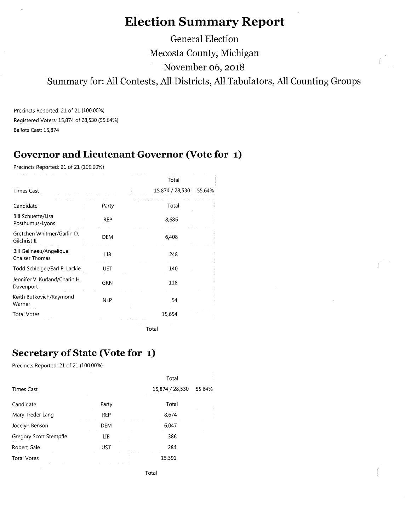# **Election Summary Report**

**General Election Mecosta County, Michigan November 06, 2018 Summary for: All Contests, All Districts, All Tabulators, All Counting Groups** 

Precincts Reported: 21 of 21 (100.00%) Registered Voters: 15,874 of 28,530 (55.64%) Ballots Cast: 15,874

### **Governor and Lieutenant Governor (Vote for 1)**

Precincts Reported: 21 of 21 (100.00%)

|                                                  |            | Total                     |  |
|--------------------------------------------------|------------|---------------------------|--|
| <b>Times Cast</b>                                |            | 15,874 / 28,530<br>55.64% |  |
| Candidate                                        | Party      | Total                     |  |
| <b>Bill Schuette/Lisa</b><br>Posthumus-Lyons     | <b>REP</b> | 8,686                     |  |
| Gretchen Whitmer/Garlin D.<br>Gilchrist II       | DEM        | 6,408                     |  |
| Bill Gelineau/Angelique<br><b>Chaiser Thomas</b> | LІВ        | 248                       |  |
| Todd Schleiger/Earl P. Lackie                    | UST        | 140                       |  |
| Jennifer V. Kurland/Charin H.<br>Davenport       | <b>GRN</b> | 118                       |  |
| Keith Butkovich/Raymond<br>Warner                | <b>NLP</b> | 54                        |  |
| <b>Total Votes</b>                               |            | 15,654                    |  |
|                                                  |            | Total                     |  |

**Secretary of State (Vote for 1)** 

Precincts Reported: 21 of 21 (100.00%)

|                        |            | Total           |        |
|------------------------|------------|-----------------|--------|
| <b>Times Cast</b>      |            | 15,874 / 28,530 | 55.64% |
| Candidate              | Party      | Total           |        |
| Mary Treder Lang       | <b>REP</b> | 8,674           |        |
| Jocelyn Benson         | <b>DEM</b> | 6,047           |        |
| Gregory Scott Stempfle | ЦB         | 386             |        |
| Robert Gale            | <b>UST</b> | 284             |        |
| <b>Total Votes</b>     |            | 15,391          |        |
|                        |            | Total           |        |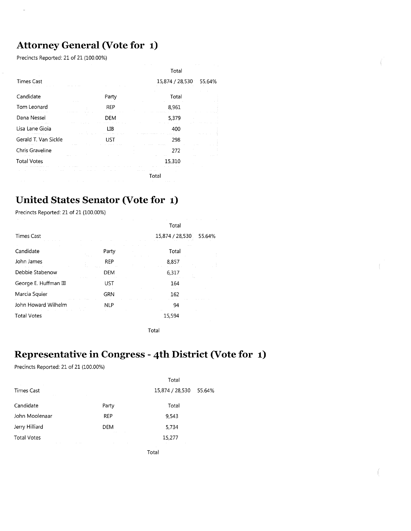#### **Attorney General (Vote for 1)**

Precincts Reported: 21 of 21 (100.00%)

|                      |       | Total           |        |
|----------------------|-------|-----------------|--------|
| <b>Times Cast</b>    |       | 15,874 / 28,530 | 55.64% |
| Candidate            | Party | Total           |        |
| Tom Leonard          | REP   | 8,961           |        |
| Dana Nessel          | DEM   | 5,379           |        |
| Lisa Lane Gioia      | LІВ   | 400             |        |
| Gerald T. Van Sickle | UST   | 298             |        |
| Chris Graveline      |       | 272             |        |
| <b>Total Votes</b>   |       | 15,310          |        |
|                      |       | Total           |        |
|                      |       |                 |        |

#### **United States Senator (Vote for 1)**

Precincts Reported: 21 of 21 (100.00%)

| <b>Times Cast</b>     |            | Total<br>15,874 / 28,530<br>55.64% |
|-----------------------|------------|------------------------------------|
| Candidate             | Party      | Total                              |
| John James            | <b>REP</b> | 8,857                              |
| Debbie Stabenow       | DEM        | 6,317                              |
| George E. Huffman III | UST        | 164                                |
| Marcia Squier         | <b>GRN</b> | 162                                |
| John Howard Wilhelm   | <b>NLP</b> | 94                                 |
| <b>Total Votes</b>    |            | 15,594                             |

Total

### **Representative in Congress - 4th District (Vote for 1)**

Precincts Reported: 21 of 21 (100.00%)

|                                                                                                                                                                        |                                                                                                                         | Total                                       |        |
|------------------------------------------------------------------------------------------------------------------------------------------------------------------------|-------------------------------------------------------------------------------------------------------------------------|---------------------------------------------|--------|
| the control of the control of the control of<br><b>Times Cast</b><br>a construction of the construction of the construction of the construction of the construction of |                                                                                                                         | 15,874 / 28,530                             | 55.64% |
| Candidate                                                                                                                                                              | Party                                                                                                                   | Total                                       |        |
| John Moolenaar                                                                                                                                                         | <b>REP</b>                                                                                                              | 9,543                                       |        |
| Jerry Hilliard                                                                                                                                                         | <b>DEM</b><br>the contract of the contract of                                                                           | 5,734                                       |        |
| <b>Total Votes</b>                                                                                                                                                     | the control of the control of the control of the control of the control of the control of the control of the control of | 15,277<br>the control of the control of the |        |
|                                                                                                                                                                        |                                                                                                                         | Total                                       |        |

 $\tilde{\tilde{f}}$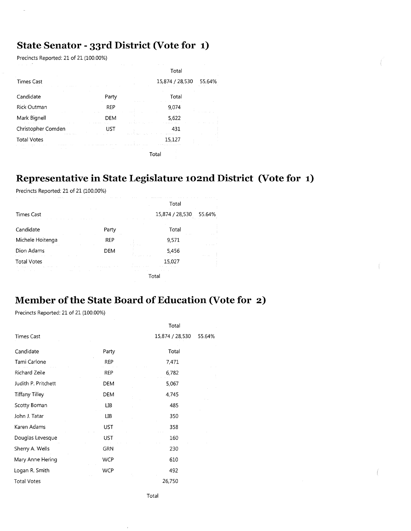# **State Senator - 33rd District (Vote for 1)**

Precincts Reported: 21 of 21 (100.00%)

|                    |            | Total           |        |
|--------------------|------------|-----------------|--------|
| <b>Times Cast</b>  |            | 15,874 / 28,530 | 55.64% |
| Candidate          | Party      | Total           |        |
| Rick Outman        | <b>REP</b> | 9,074           |        |
| Mark Bignell       | DEM        | 5,622           |        |
| Christopher Comden | UST        | 431             |        |
| <b>Total Votes</b> |            | 15,127          |        |
|                    |            | Tota            |        |

### **Representative in State Legislature 102nd District (Vote for 1)**

Precincts Reported: 21 of 21 (100.00%)

|                                                         |                            | Total           |        |
|---------------------------------------------------------|----------------------------|-----------------|--------|
| <b>Times Cast</b>                                       |                            | 15,874 / 28,530 | 55.64% |
| Candidate                                               | Party                      | Total           |        |
| Michele Hoitenga                                        | <b>REP</b>                 | .<br>9,571      |        |
| the state of the control of the state of<br>Dion Adams  | <b>DEM</b>                 | 5,456           |        |
| the control of the control of the<br><b>Total Votes</b> | the company of the company | 15,027          | $\sim$ |
| The Control                                             |                            |                 |        |

### **Member of the State Board of Education (Vote for 2)**

Precincts Reported: 21 of 21 (100.00%)

|            | Total           |        |
|------------|-----------------|--------|
|            | 15,874 / 28,530 | 55.64% |
| Party      | Total           |        |
| <b>REP</b> | 7,471           |        |
| REP        | 6,782           |        |
| DEM        | 5,067           |        |
| <b>DEM</b> | 4,745           |        |
| ЦB         | 485             |        |
| UВ         | 350             |        |
| <b>UST</b> | 358             |        |
| UST        | 160             |        |
| <b>GRN</b> | 230             |        |
| <b>WCP</b> | 610             |        |
| <b>WCP</b> | 492             |        |
|            | 26,750          |        |
|            |                 |        |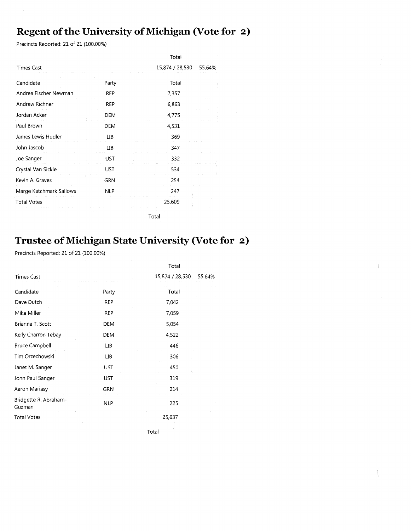### **Regent of the University of Michigan (Vote for 2)**

Precincts Reported: 21 of 21 (100.00%)

|                         |            | Total           |        |
|-------------------------|------------|-----------------|--------|
| <b>Times Cast</b>       |            | 15,874 / 28,530 | 55.64% |
| Candidate               | Party      | Total           |        |
| Andrea Fischer Newman   | <b>REP</b> | 7,357           |        |
| Andrew Richner          | <b>REP</b> | 6,863           |        |
| Jordan Acker            | <b>DEM</b> | 4,775           |        |
| Paul Brown              | DEM        | 4,531           |        |
| James Lewis Hudler      | ЦΒ         | 369             |        |
| John Jascob             | ЦB         | 347             |        |
| Joe Sanger              | UST        | 332             |        |
| Crystal Van Sickle      | UST        | 534             |        |
| Kevin A. Graves         | <b>GRN</b> | 254             |        |
| Marge Katchmark Sallows | <b>NLP</b> | 247             |        |
| <b>Total Votes</b>      |            | 25,609          |        |
|                         |            | Total           |        |

### **Trustee of Michigan State University (Vote for 2)**

Precincts Reported: 21 of 21 (100.00%)

|                                 |            | Total           |        |
|---------------------------------|------------|-----------------|--------|
| <b>Times Cast</b>               |            | 15,874 / 28,530 | 55.64% |
| Candidate                       | Party      | Total           |        |
| Dave Dutch                      | REP        | 7,042           |        |
| Mike Miller                     | REP        | 7,059           |        |
| Brianna T. Scott                | DEM        | 5,054           |        |
| Kelly Charron Tebay             | DEM        | 4,522           |        |
| <b>Bruce Campbell</b>           | ЦB         | 446             |        |
| Tim Orzechowski                 | LІB        | 306             |        |
| Janet M. Sanger                 | UST        | 450             |        |
| John Paul Sanger                | <b>UST</b> | 319             |        |
| Aaron Mariasy                   | <b>GRN</b> | 214             |        |
| Bridgette R. Abraham-<br>Guzman | <b>NLP</b> | 225             |        |
| <b>Total Votes</b>              |            | 25,637          |        |
|                                 |            | Total           |        |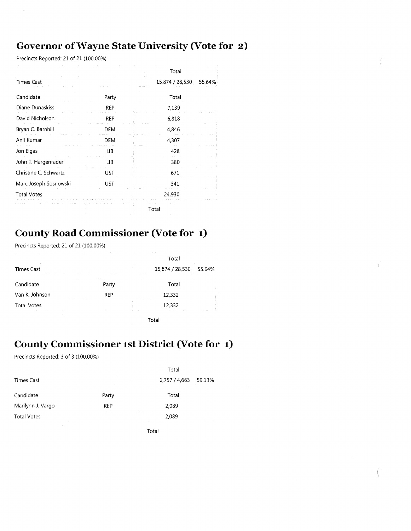### **Governor of Wayne State University (Vote for 2)**

Precincts Reported: 21 of 21 (100.00%)

ä,

|                       |            | Total           |        |
|-----------------------|------------|-----------------|--------|
| <b>Times Cast</b>     |            | 15,874 / 28,530 | 55.64% |
| Candidate             | Party      | Total           |        |
| Diane Dunaskiss       | <b>REP</b> | 7,139           |        |
| David Nicholson       | <b>REP</b> | 6,818           |        |
| Bryan C. Barnhill     | DEM        | 4,846           |        |
| Anil Kumar            | <b>DEM</b> | 4,307           |        |
| Jon Elgas             | ΠВ         | 428             |        |
| John T. Hargenrader   | ЦB         | 380             |        |
| Christine C. Schwartz | UST        | 671             |        |
| Marc Joseph Sosnowski | UST        | 341             |        |
| <b>Total Votes</b>    |            | 24,930          |        |
|                       |            | Total           |        |

#### **County Road Commissioner (Vote for 1)**

Precincts Reported: 21 of 21 (100.00%)

|                                                                                                                 |                          | Total                       |  |  |
|-----------------------------------------------------------------------------------------------------------------|--------------------------|-----------------------------|--|--|
| $\sim$<br><b>Times Cast</b><br>the contract of the contract of<br>$\sim$                                        |                          | 15,874 / 28,530 55.64%<br>. |  |  |
| Candidate                                                                                                       | contract and an<br>Party | Total                       |  |  |
| Van K. Johnson                                                                                                  | REP                      | 12,332                      |  |  |
| <b>CONTRACTOR</b><br><b>ALCOHOL:</b><br><b>Total Votes</b><br><b>Service</b><br>the contract of the contract of |                          | 12,332                      |  |  |

Total

# **County Commissioner 1st District (Vote for 1)**

Precincts Reported: 3 of 3 (100.00%)

| the contract of the contract of                                                                       | the control of the control                                                                                | Total                                            |  |
|-------------------------------------------------------------------------------------------------------|-----------------------------------------------------------------------------------------------------------|--------------------------------------------------|--|
| <b>Times Cast</b>                                                                                     | and the control of the con-<br>the control of the control of the control of the control of the control of | 2,757 / 4,663 59.13%                             |  |
| Candidate                                                                                             | Party                                                                                                     | Total                                            |  |
| Marilynn J. Vargo                                                                                     | <b>REP</b><br>$\alpha = 1$ , $\alpha$                                                                     | 2,089<br>and the company                         |  |
| <b>Total Votes</b><br>the contract of the contract of the contract of the contract of the contract of |                                                                                                           | 2,089<br>and the control<br>and the state of the |  |
| the control of the control of the con-                                                                |                                                                                                           | Total                                            |  |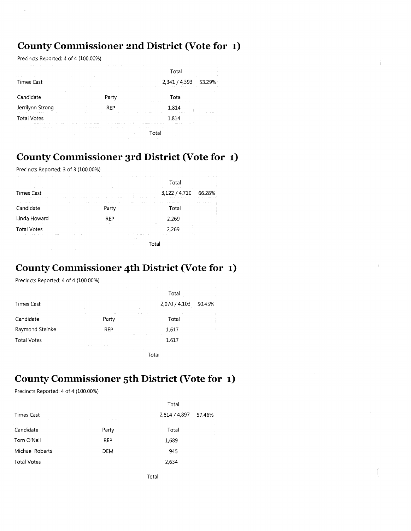### **County Commissioner 2nd District (Vote for 1)**

Precincts Reported: 4 of 4 (100.00%)

|                                                                                    |                                                                                                                | Total                                                                   |        |
|------------------------------------------------------------------------------------|----------------------------------------------------------------------------------------------------------------|-------------------------------------------------------------------------|--------|
| <b>COLLEGE</b><br>Times Cast                                                       | <b>COLLECT</b><br><b>Contract</b>                                                                              | 2,341 / 4,393<br>the committee of the committee of the com-             | 53.29% |
| Candidate                                                                          | Party                                                                                                          | Total                                                                   |        |
| Jerrilynn Strong                                                                   | $\sim$<br>1.4.1<br>REP                                                                                         | 1.814                                                                   |        |
| the contract of the state of the<br>the contract of the con-<br><b>Total Votes</b> | а се намиранието на смето се време на които нариските на намиранието 8. се намира различните се се насилните и | 1,814                                                                   |        |
| .                                                                                  | the contract of the con-                                                                                       | the company's company's company's company's company's company's<br>Гоtа |        |

#### **County Commissioner 3rd District (Vote for 1)**

Precincts Reported: 3 of 3 (100.00%)

| All Arrest                                                                       | the contract of the contract of<br>the control of the control of the                                                                                    | $\sim$                   | the contract of the con-<br><b>ALCOHOL:</b><br>Total                         |        |
|----------------------------------------------------------------------------------|---------------------------------------------------------------------------------------------------------------------------------------------------------|--------------------------|------------------------------------------------------------------------------|--------|
| the contract of the con-<br><b>COLLECTION</b><br><b>Times Cast</b><br>.          | and the company's company's their<br><b>Contract Contract</b><br>.                                                                                      |                          | <b>Contract Contract</b><br>3,122/4,710<br>.                                 | 66.28% |
| the state of the control of the con-<br><b>Contract Contract</b><br>Candidate    | the contract of the contract of the<br>the company's company's company's company's<br>Part                                                              | .                        | .<br>a series and the<br><b><i><u>Property</u></i></b><br>Total              |        |
| Linda Howard                                                                     | <b>REP</b>                                                                                                                                              |                          | 2 2 6 9                                                                      |        |
| the contract of the contract of the<br><b>Total Votes</b>                        | <b>College</b>                                                                                                                                          |                          | and the state<br><b>ALC</b><br>2.269<br>and a strategic control of the state |        |
| the company's company's proposed to the company's company's<br><b>Contractor</b> | the contract of the contract of the con-<br><b>Contract Contract Contract</b><br>the contract of the con-<br>the contract of the con-<br><b>College</b> | <b>Contract Contract</b> |                                                                              |        |

#### **County Commissioner 4th District (Vote for 1)**

Precincts Reported: 4 of 4 (100.00%)

|                                       |                      | Total           |        |
|---------------------------------------|----------------------|-----------------|--------|
| Times Cast                            |                      | 2,070 / 4,103   | 50.45% |
| Candidate                             | $\sim$<br>Party      | Total           |        |
| Raymond Steinke                       | $\sim$<br><b>REP</b> | 1,617           | -11    |
| <b>Total Votes</b><br><b>Contract</b> |                      | $\sim$<br>1,617 |        |
|                                       |                      | Total           |        |

**County Commissioner 5th District (Vote for 1)** 

Precincts Reported: 4 of 4 (100.00%)

|                    |                                  | Total                             |
|--------------------|----------------------------------|-----------------------------------|
| Times Cast         | and a con-<br>the control of the | 2,814 / 4,897<br>57.46%<br>$\sim$ |
| Candidate          | Party                            | Total                             |
| Tom O'Neil         | <b>REP</b>                       | 1,689                             |
| Michael Roberts    | <b>DEM</b>                       | 945                               |
| <b>Total Votes</b> | $\alpha = 1, \ldots, n$          | 2,634                             |
|                    |                                  | Total                             |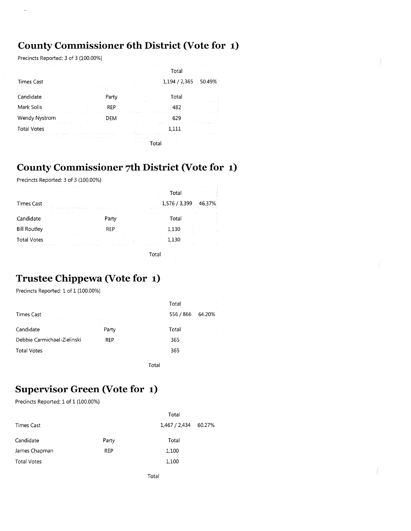### **County Commissioner 6th District (Vote for 1)**

Precincts Reported: 3 of 3 (100.00%)

|                                                       |                                                                                              | Total                                        |
|-------------------------------------------------------|----------------------------------------------------------------------------------------------|----------------------------------------------|
| <b>Times Cast</b><br>and the company                  |                                                                                              | 1,194 / 2,365<br>49%<br>50<br>$1.1 - 1.1$    |
| Candidate                                             | Party                                                                                        | Total<br>$11.11 - 11.1$                      |
| Mark Solis                                            | REP<br><b>Automatical</b>                                                                    | 482                                          |
| Wendy Nystrom                                         | a concert for products.<br>DFM                                                               | 629                                          |
| <b>Total Votes</b><br>the control of the property and | <b>All Contracts</b><br>the country of the first transporta-<br>The companies are a          | <b>ALCOHOL:</b><br>a se espacio de la<br>111 |
| $\alpha$ , $\alpha$ , $\alpha$                        | the contract of the contract of the contract of the<br>The Contract of<br>$\sim$<br>$\cdots$ |                                              |

### **County Commissioner 7th District (Vote for 1)**

Precincts Reported: 3 of 3 (100.00%)

| the company's company's property and                                                                            |                                                                                                                                                                                                                                                                             | Total                                                                                                                                                                                                                                                                          | .                                         |
|-----------------------------------------------------------------------------------------------------------------|-----------------------------------------------------------------------------------------------------------------------------------------------------------------------------------------------------------------------------------------------------------------------------|--------------------------------------------------------------------------------------------------------------------------------------------------------------------------------------------------------------------------------------------------------------------------------|-------------------------------------------|
| <b>Times Cast</b><br>the company of the company of the<br>$\cdots \qquad \cdots$                                | the company of the company of the company of the company of the company of the company of the company of the company of the company of the company of the company of the company of the company of the company of the company<br>control of the first<br>the control of the | the company of the company of<br>1,576/3,399<br>the basis of the company of the company of the second company of the company of the company of the company of the company of the company of the company of the company of the company of the company of the company of the com | 46.37%<br>the contract of the contract of |
| Candidate                                                                                                       | Party                                                                                                                                                                                                                                                                       | Total                                                                                                                                                                                                                                                                          |                                           |
| <b>Bill Routley</b>                                                                                             | <b>REP</b>                                                                                                                                                                                                                                                                  | 1,130                                                                                                                                                                                                                                                                          |                                           |
| <b>Total Votes</b><br>the company of the company of the company of the company of the company of the company of | the first control of the property and the control of                                                                                                                                                                                                                        | <b><i><u>ALCOHOL: 2001</u></i></b><br>1.130<br>a surface<br>the company of the company of the company of the                                                                                                                                                                   |                                           |
| the contract of the contract of the                                                                             | the control of the                                                                                                                                                                                                                                                          | Total                                                                                                                                                                                                                                                                          |                                           |

### **Trustee Chippewa (Vote for 1)**

Precincts Reported: 1 of 1 (100.00%)

| $\sim$                      |                 | Total               |  |
|-----------------------------|-----------------|---------------------|--|
| <b>Times Cast</b>           |                 | 556 / 866<br>64.20% |  |
| Candidate                   | $\sim$<br>Party | Total               |  |
| Debbie Carmichael-Zielinski | <b>REP</b>      | 365                 |  |
| <b>Total Votes</b>          |                 | 365                 |  |
|                             |                 |                     |  |

Total

### **Supervisor Green (Vote for 1)**

Precincts Reported: 1 of 1 (100.00%)

|                                             |                | Total                                  |        |
|---------------------------------------------|----------------|----------------------------------------|--------|
| Times Cast                                  |                | 1,467 / 2,434 60.27%<br><b>College</b> |        |
| Candidate                                   | Party          | <b>College</b><br>Total                |        |
| James Chapman<br><b>Contractor</b>          | <b>REP</b>     | 1,100<br>The Contract                  | $\sim$ |
| <b>Total Votes</b><br>contract the contract | <b>Service</b> | 1,100<br><b>Contractor</b>             |        |
|                                             |                | Total                                  |        |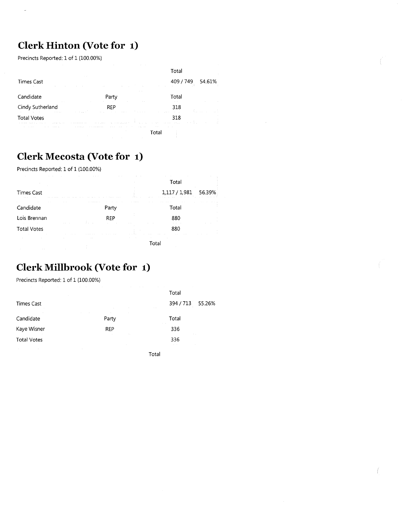# **Clerk Hinton (Vote for 1)**

Precincts Reported: 1 of 1 (100.00%)

 $\overline{a}$ 

|                                                                                                                                                                   |                                                                                                 | Total                                                                                    |
|-------------------------------------------------------------------------------------------------------------------------------------------------------------------|-------------------------------------------------------------------------------------------------|------------------------------------------------------------------------------------------|
| <b>Times Cast</b><br>$\sim$                                                                                                                                       | $\sim$ $\sim$<br>$\sim$                                                                         | 54.61%<br>409 / 749<br>and the state                                                     |
| Candidate                                                                                                                                                         | $\sim$<br>Party                                                                                 | Total                                                                                    |
| $\sim$<br>Cindy Sutherland<br><b>Charles Card</b>                                                                                                                 | REP<br>and the state<br>and the process                                                         | $\sim$ $\sim$<br>318<br>Report Follows<br>the company's and<br>$-1$ $-1$<br>The Contract |
| the company of the company of the<br><b>Total Votes</b><br>contract the course.<br>the company of the company of the<br>The County of the<br><b>ALCOHOL: 1979</b> | $\sim$<br>contract and provided<br>THE R. P. LEWIS CO., LANSING MICH.                           | 318<br>a contract of the contract of the con-<br>the company's<br>$\sim$                 |
| the contract of the contract of<br>the contract of the state of the<br>the company's company's com-                                                               | and the state of the state of the<br><b>Contract Contract</b><br>the state of the state<br>- 11 | the control of the control of the con-                                                   |

 $\mathcal{L}$ 

ſ

### **Clerk Mecosta (Vote for 1)**

Precincts Reported: 1 of 1 (100.00%)

| $\cdots$           | .                 | $-1$       |                       | <b>CONTRACTOR</b><br>Total                                                     |
|--------------------|-------------------|------------|-----------------------|--------------------------------------------------------------------------------|
| <b>Times Cast</b>  |                   |            | and the state         | 56.39%<br>1,117 / 1,981<br>the company of<br>Arrest Arrest<br>and the state of |
| Candidate          | .                 | Party      | <b>All Anti-Array</b> | the contract of the<br><b>ALCOHOL: YES</b><br>.<br><b>CONTRACTOR</b><br>Total  |
| Lois Brennan       |                   | <b>REP</b> |                       | 880                                                                            |
| <b>Total Votes</b> |                   |            |                       | 880                                                                            |
|                    | <b>COLLECTION</b> |            |                       |                                                                                |

### **Clerk Millbrook (Vote for 1)**

Precincts Reported: 1 of 1 (100.00%)

| Total                        |
|------------------------------|
| 394 / 713 55.26%             |
| Total<br><b>State Street</b> |
| 336<br>$\sim$ 10 $\mu$       |
| 336<br>$\sim$<br>$\sim$      |
|                              |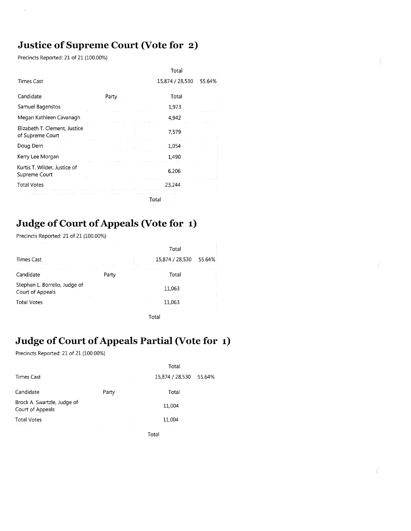### **Justice of Supreme Court (Vote for 2)**

Precincts Reported: 21 of 21 (100.00%)

L.

|                                                   |       | Total           |        |
|---------------------------------------------------|-------|-----------------|--------|
| <b>Times Cast</b>                                 |       | 15,874 / 28,530 | 55.64% |
| Candidate                                         | Party | Total           |        |
| Samuel Bagenstos                                  |       | 1,973           |        |
| Megan Kathleen Cavanagh                           |       | 4,942           |        |
| Elizabeth T. Clement, Justice<br>of Supreme Court |       | 7,579           |        |
| Doug Dern                                         |       | 1,054           |        |
| Kerry Lee Morgan                                  |       | 1,490           |        |
| Kurtis T. Wilder, Justice of<br>Supreme Court     |       | 6,206           |        |
| <b>Total Votes</b>                                |       | 23,244          |        |
|                                                   |       | Total           |        |
|                                                   |       |                 |        |

# **Judge of Court of Appeals (Vote for 1)**

Precincts Reported: 21 of 21 (100.00%)

|                                                             |                        | Total                     |  |
|-------------------------------------------------------------|------------------------|---------------------------|--|
| <b>Times Cast</b>                                           |                        | 15,874 / 28,530<br>55.64% |  |
| Candidate                                                   | $\sim$ $\sim$<br>Party | $\sim$ $\sim$<br>Total    |  |
| Stephen L. Borrello, Judge of<br>Court of Appeals           |                        | 11,063                    |  |
| <b>Total Votes</b><br>the committee of the committee of the |                        | <b>ALCOHOL:</b><br>11.063 |  |
|                                                             |                        | Total                     |  |

# **Judge of Court of Appeals Partial (Vote for 1)**

Precincts Reported: 21 of 21 (100.00%)

|                                                                     |       | Total                               |  |
|---------------------------------------------------------------------|-------|-------------------------------------|--|
| <b>Times Cast</b>                                                   |       | 15,874 / 28,530<br>55.64%<br>$\sim$ |  |
| Candidate                                                           | Party | Total                               |  |
| Brock A. Swartzle, Judge of<br>Court of Appeals                     |       | 11,004                              |  |
| <b>Total Votes</b><br>and the control of<br>the company of the com- |       | 11,004                              |  |
|                                                                     |       | Total                               |  |

Ç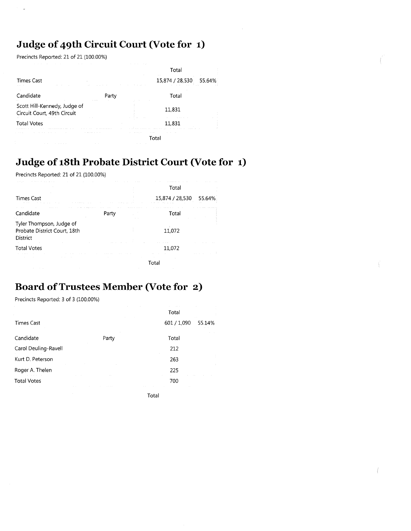## **Judge of 49th Circuit Court (Vote for 1)**

Precincts Reported: 21 of 21 (100.00%)

 $\overline{a}$ 

|                                                                                              |                                        | Total           |        |
|----------------------------------------------------------------------------------------------|----------------------------------------|-----------------|--------|
| <b>Times Cast</b><br>and the state                                                           |                                        | 15,874 / 28,530 | 55.64% |
| Candidate                                                                                    | Party                                  | Total           |        |
| Scott Hill-Kennedy, Judge of<br>Circuit Court, 49th Circuit<br>the company of the company of |                                        | 11,831          |        |
| <b>Total Votes</b>                                                                           |                                        | 11.831          |        |
| ALC: NO                                                                                      | the company of the company of the com- | Tota            |        |

### **Judge of 18th Probate District Court (Vote for 1)**

Precincts Reported: 21 of 21 (100.00%)

|                                                                             |       | Total                     |        |
|-----------------------------------------------------------------------------|-------|---------------------------|--------|
| <b>Times Cast</b>                                                           |       | 15,874 / 28,530           | 55.64% |
| Candidate                                                                   | Party | Total                     |        |
| Tyler Thompson, Judge of<br>Probate District Court, 18th<br><b>District</b> |       | 11,072                    |        |
| <b>Total Votes</b>                                                          |       | 11,072<br><b>ALCOHOL:</b> |        |
|                                                                             |       | Total                     |        |

### **Board of Trustees Member (Vote for 2)**

Precincts Reported: 3 of 3 (100.00%)

|                      |       | Total       |        |
|----------------------|-------|-------------|--------|
| <b>Times Cast</b>    |       | 601 / 1,090 | 55.14% |
| Candidate            | Party | Total       |        |
| Carol Deuling-Ravell |       | 212         |        |
| Kurt D. Peterson     |       | 263         |        |
| Roger A. Thelen<br>. |       | 225         |        |
| <b>Total Votes</b>   |       | 700         |        |
|                      |       | Total       |        |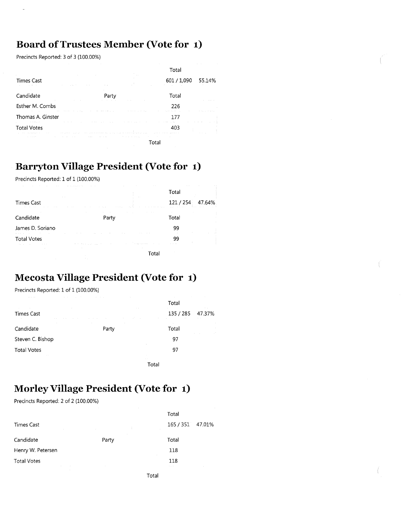### **Board of Trustees Member (Vote for 1)**

Precincts Reported: 3 of 3 (100.00%)

|                                                                                                                                                                                                                                                  |                                                                                                                                                                                      | Total                                                       |        |
|--------------------------------------------------------------------------------------------------------------------------------------------------------------------------------------------------------------------------------------------------|--------------------------------------------------------------------------------------------------------------------------------------------------------------------------------------|-------------------------------------------------------------|--------|
| <b>Times Cast</b><br><b>ALC</b><br>and the first<br>and the control                                                                                                                                                                              | 21.12<br><b>COLLEGE</b>                                                                                                                                                              | 601 / 1,090                                                 | 55.14% |
| Candidate                                                                                                                                                                                                                                        | Party                                                                                                                                                                                | Total                                                       |        |
| Esther M. Combs<br>the company of the company of the company of the company of the company of the company of the company of the company of the company of the company of the company of the company of the company of the company of the company | .<br><b>Contract Contract</b>                                                                                                                                                        | 226<br>the contract of the con-<br>the state of the company |        |
| Thomas A. Ginster                                                                                                                                                                                                                                |                                                                                                                                                                                      | the contract of the contract of the                         |        |
| And All Angeles<br><b>Total Votes</b>                                                                                                                                                                                                            | contract and contract<br>the control of the con-<br>$\sim$ $\sim$<br>and any representation of the companies and contact the communications are the three models of the state of the | the property of the state and aggregate the state           |        |
| and a state of                                                                                                                                                                                                                                   | <b>Service</b><br>Allen Arrest<br>the contract of the con-                                                                                                                           | <b>Contract</b>                                             |        |

#### **Barryton Village President (Vote for 1)**

Precincts Reported: 1 of 1 (100.00%)

| the contract of the con-<br>the company's company's company's company's                                                        | the contract of the con-                                                                                                                              | $\cdots$<br>Total      |        |
|--------------------------------------------------------------------------------------------------------------------------------|-------------------------------------------------------------------------------------------------------------------------------------------------------|------------------------|--------|
| <b>College College</b><br><b>Times Cast</b><br>the state of the con-<br>The Contract of the<br>the contract of the contract of | The Contract of                                                                                                                                       | $1.1 - 1.1$<br>121/254 | 47.64% |
| Candidate                                                                                                                      | the control of the state of the<br>Party                                                                                                              | Total                  | Ĵ      |
| James D. Soriano                                                                                                               |                                                                                                                                                       | 99                     |        |
| <b>Total Votes</b><br>contract and an<br><b>Contract Contract</b>                                                              | <b>COLLECTION</b><br>$\sim$ 100 $\mu$<br>a local contractor<br>the control of the control of the control of the control of the con-<br><b>Service</b> | gg<br>11               |        |
| $\sim$                                                                                                                         | <b>Contractor</b>                                                                                                                                     | Total                  |        |

### **Mecosta Village President (Vote for 1)**

Precincts Reported: 1 of 1 (100.00%)

|                                                        |                       | Total               |                             |
|--------------------------------------------------------|-----------------------|---------------------|-----------------------------|
| $\sim$<br>the company's company's<br><b>Times Cast</b> | $\sim$                | 135 / 285<br>$\sim$ | 47.37%<br><b>CONTRACTOR</b> |
| $\sim$<br>Candidate                                    | 14<br>$\sim$<br>Party | Total               | $\sim$                      |
| Steven C. Bishop                                       |                       | 97                  |                             |
| <b>Total Votes</b><br><b>CONTRACTOR</b>                |                       | $\sim$<br>97        |                             |
|                                                        |                       | $\sim$ $-$<br>Total |                             |

### **Morley Village President (Vote for 1)**

Precincts Reported: 2 of 2 (100.00%)

|                                        |                                   | Total                      |                  |
|----------------------------------------|-----------------------------------|----------------------------|------------------|
| <b>Times Cast</b><br>and a state of    | - t                               |                            | 165 / 351 47.01% |
| Candidate                              | Party                             | Total                      |                  |
| Henry W. Petersen                      |                                   | 118<br>$\sim$              |                  |
| <b>Total Votes</b><br>the committee of | the control of the control of the | 118<br>$\alpha_{\rm{max}}$ |                  |
| <b>Contractor</b>                      |                                   | Total                      |                  |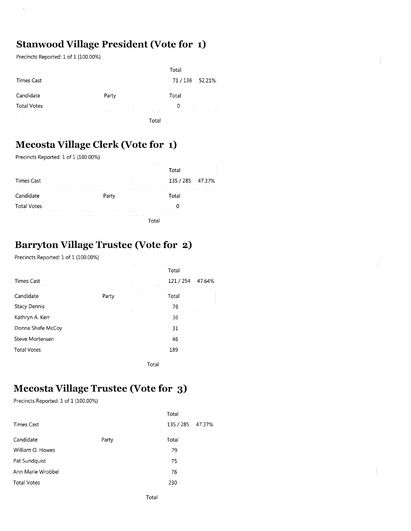### **Stanwood Village President (Vote for 1)**

Precincts Reported: 1 of 1 (100.00%)

|                                                                                                                                                                                                                                                      |                                                                                                                                                                                                                                                   | Total                                                                                                                                                                                                                                                                                                       |                                                                              |
|------------------------------------------------------------------------------------------------------------------------------------------------------------------------------------------------------------------------------------------------------|---------------------------------------------------------------------------------------------------------------------------------------------------------------------------------------------------------------------------------------------------|-------------------------------------------------------------------------------------------------------------------------------------------------------------------------------------------------------------------------------------------------------------------------------------------------------------|------------------------------------------------------------------------------|
| <b>Times Cast</b><br>the control of the control of the<br>the control of the control of the                                                                                                                                                          | <b>STATE OF BRIDE</b><br>the contract of the contract of the contract of the contract of<br>$\sim$                                                                                                                                                | The Contract                                                                                                                                                                                                                                                                                                | $71/136$ 52.21%<br>$\mathcal{L}(\mathcal{L})$ and $\mathcal{L}(\mathcal{L})$ |
| Candidate                                                                                                                                                                                                                                            | <b>ALC</b><br>Party                                                                                                                                                                                                                               | the contract of the contract of<br>Total                                                                                                                                                                                                                                                                    |                                                                              |
| <b>Contract Contract</b><br><b>Total Votes</b><br>the contract of the contract of the contract of the contract of the contract of the contract of the contract of<br>and the state of the                                                            | The Contract of<br>the second control of the second second control of the second second control of the second second second second second second second second second second second second second second second second second second second secon | <b>Contract Contract</b><br>the control of the con-<br>the company of the company of the company of the company of the company of the company of the company of the company of the company of the company of the company of the company of the company of the company of the company<br>The Contract of the | <b>Contract Contract</b><br>÷<br><b>COLLECT</b><br>ALC: YES                  |
| the contract of the<br>the control of the control of the control of the control of the control of the control of the control of the control of the control of the control of the control of the control of the control of the control of the control |                                                                                                                                                                                                                                                   |                                                                                                                                                                                                                                                                                                             |                                                                              |

### **Mecosta Village Clerk (Vote for 1)**

Precincts Reported: 1 of 1 (100.00%)

| .                                                        | the control of the con-           | $\cdots$<br><b>Contract Contract</b>               |                                                                                                                 |                                                                                                                                                                 |                                            |
|----------------------------------------------------------|-----------------------------------|----------------------------------------------------|-----------------------------------------------------------------------------------------------------------------|-----------------------------------------------------------------------------------------------------------------------------------------------------------------|--------------------------------------------|
|                                                          |                                   |                                                    |                                                                                                                 |                                                                                                                                                                 |                                            |
| Times Cast<br>.                                          | <b>CONTRACTOR</b><br>.            | .                                                  | ALC: Y                                                                                                          | 135 / 285 47.37%<br>the contract of the contract of the contract of the contract of the contract of the contract of the contract of<br><b>Contract Contract</b> |                                            |
| Candidate                                                | the contract of the contract of   | <b>Contract Contract Contract Contract</b><br>Part | the contract of the contract of the contract of the contract of the contract of the contract of the contract of | Total                                                                                                                                                           | <b>Contract Contract Contract Contract</b> |
| <b>Total Votes</b><br><b>CONTRACTOR</b><br>$\sim$ $\sim$ | <b>ALCOHOL:</b>                   |                                                    | $\sim$ $ \sim$<br>14.40                                                                                         | 10,000<br><b>ALC UNIT</b>                                                                                                                                       | 1.11                                       |
|                                                          | <b>Contract Contract Contract</b> |                                                    | the contract and the contract of the                                                                            |                                                                                                                                                                 |                                            |

Total

### **Barryton Village Trustee (Vote for 2)**

Precincts Reported: 1 of 1 (100.00%)

|                                    |       |       | Total             |
|------------------------------------|-------|-------|-------------------|
| <b>Times Cast</b>                  |       |       | 121/254<br>47.64% |
| Candidate                          | Party |       | Total             |
| <b>Stacy Dennis</b>                |       | ÷.,   | 76                |
| Kathryn A. Kerr                    |       |       | 36                |
| Donna Shafe McCoy                  |       |       | 31                |
| Steve Mortensen                    |       |       | 46                |
| <b>STATE</b><br><b>Total Votes</b> |       |       | 189               |
|                                    |       | Total |                   |

### **Mecosta Village Trustee (Vote for 3)**

Precincts Reported: 1 of 1 (100.00%)

|                    |       | Total     |        |
|--------------------|-------|-----------|--------|
| <b>Times Cast</b>  |       | 135 / 285 | 47.37% |
| Candidate          | Party | Total     |        |
| William O. Howes   |       | 79        |        |
| Pat Sundquist      |       | 75        |        |
| Ann Marie Wrobbel  |       | 76        |        |
| <b>Total Votes</b> |       | 230       |        |
|                    |       |           |        |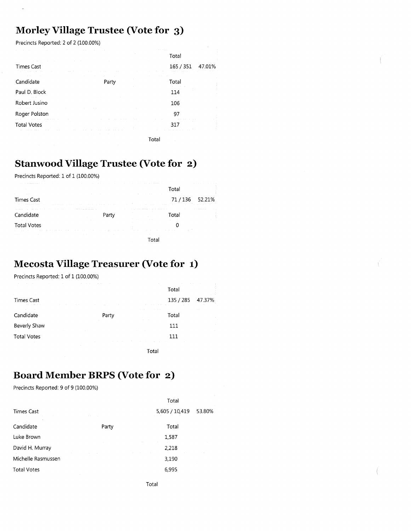#### **Morley Village Trustee (Vote for 3)**

Precincts Reported: 2 of 2 (100.00%)

|                                                                                                                                                                | the control of the control of the control of the control of the control of the control of the control of | the contract of the property of<br><b>Contractor</b><br>Total  |               |
|----------------------------------------------------------------------------------------------------------------------------------------------------------------|----------------------------------------------------------------------------------------------------------|----------------------------------------------------------------|---------------|
| the control of the control of the<br>the company's company's and<br><b>Times Cast</b><br>the contract of the contract of the                                   | <b>Service</b>                                                                                           | 165 / 351<br>47.01%<br><b>COLLECT</b>                          |               |
| the contract of the contract of the<br>Candidate                                                                                                               | <b>STATE</b><br>the contract of the con-<br>the company's company's com-<br>Party                        | the contract of the<br>Total<br>and the company of the company |               |
| Paul D. Block                                                                                                                                                  |                                                                                                          | 114                                                            |               |
| Robert Jusino<br>the contract of the contract of the con-                                                                                                      |                                                                                                          | 106                                                            | $\mathcal{L}$ |
| Roger Polston                                                                                                                                                  | the state of the control of the control of the con-<br>The control                                       | 97<br>the control of the con-                                  |               |
| the contract of the contract of the contract of the<br><b>Total Votes</b><br>the contract of the contract of the contract of the contract of<br><b>COLLEGE</b> | the contract of the state.<br><b>COLLEGE</b>                                                             | contract the con-<br>317                                       |               |
| <b>Contractor</b>                                                                                                                                              | $\sim$                                                                                                   | the control of the control of<br>$\sim$<br>Total               |               |

#### **Stanwood Village Trustee (Vote for 2)**

Precincts Reported: 1 of 1 (100.00%)

| the contract of the property and the contract of the contract of the contract of<br><b>Contract Contract Contract</b>                                                                                                                                                                                  |                                                                                                                          |                                                                                                                                                                                                                                                                     | <b>Cotal</b>                                                                                                                                                                                                                  |               |
|--------------------------------------------------------------------------------------------------------------------------------------------------------------------------------------------------------------------------------------------------------------------------------------------------------|--------------------------------------------------------------------------------------------------------------------------|---------------------------------------------------------------------------------------------------------------------------------------------------------------------------------------------------------------------------------------------------------------------|-------------------------------------------------------------------------------------------------------------------------------------------------------------------------------------------------------------------------------|---------------|
| <b>ALC</b><br><b>Contract Contract Contract</b><br><b>Times Cast</b><br>the communication of the communication of the communication of the communication of the communication of the communication of the communication of the communication of the communication of the communication of the communic | the contract of the contract of the                                                                                      | All College                                                                                                                                                                                                                                                         | the company of the company of the company of the company of the company of the company of the company of the company of the company of the company of the company of the company of the company of the company of the company | 71/136 52.21% |
| the company of the company of the company of the company of the company of the company of the company of the company of the company of the company of the company of the company of the company of the company of the company<br>Candidate                                                             | the contract of the contract and a state of the contract of the contract of the contract of the contract of the<br>Party | <b>Contract Contract Contract</b><br>the companies of the companies of the companies of the companies of the companies of the companies of the companies of the companies of the companies of the companies of the companies of the companies of the companies of t | ntar.                                                                                                                                                                                                                         | .             |
| <b>Total Votes</b><br>the contract of the contract of the contract of the contract of the contract of                                                                                                                                                                                                  |                                                                                                                          | 10.11.11<br>the company of the company of the<br>the contract of the con-                                                                                                                                                                                           | <b>Contract Contract Contract</b>                                                                                                                                                                                             |               |
| <b>Contractor</b><br><b>Contractor</b>                                                                                                                                                                                                                                                                 | the company's property and the company's property<br><b>Contractor</b>                                                   | <b>COLL</b>                                                                                                                                                                                                                                                         |                                                                                                                                                                                                                               |               |

#### **Mecosta Village Treasurer (Vote for 1)**

Precincts Reported: 1 of 1 (100.00%)

| the company of the company of the             | the contract of the contract of the contract of the contract of the contract of the contract of the contract of |                     | Total                                                                            |        |
|-----------------------------------------------|-----------------------------------------------------------------------------------------------------------------|---------------------|----------------------------------------------------------------------------------|--------|
| a.<br>Times Cast<br>All Controller<br>.       | the control of the control of the control of                                                                    |                     | 135 / 285<br>and the control of the control of the control of the control of the | 47.37% |
| Candidate                                     | Party                                                                                                           | the contract of the | Total                                                                            | $\sim$ |
| Beverly Shaw                                  | the control of the control of the control of                                                                    |                     | 111                                                                              |        |
| <b>Total Votes</b><br>the control of the con- | the control of the control of the control of the control of the control of the control of                       |                     | 111<br>and the control of                                                        |        |
|                                               |                                                                                                                 | Total               |                                                                                  |        |

#### **Board Member BRPS (Vote for 2)**

Precincts Reported: 9 of 9 (100.00%)

|                                                        |                     | Total          |        |
|--------------------------------------------------------|---------------------|----------------|--------|
| <b>Times Cast</b><br>the control of the control of the | <b>Contract Ave</b> | 5,605 / 10,419 | 53.80% |
| $\epsilon$<br>Candidate                                | Party               | Total          |        |
| Luke Brown                                             |                     | 1,587          |        |
| David H. Murray                                        |                     | 2,218          |        |
| Michelle Rasmussen                                     |                     | 3,190          |        |
| <b>Total Votes</b>                                     |                     | 6,995          |        |
|                                                        |                     |                |        |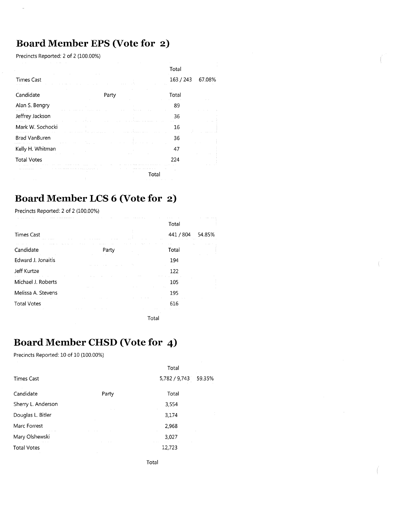### **Board Member EPS (Vote for 2)**

Precincts Reported: 2 of 2 (100.00%)

j.

| 163 / 243<br><b>Times Cast</b><br>67.08%<br>Candidate<br>Total<br>Party<br>Alan S. Bengry<br>89<br>Jeffrey Jackson<br>36 |  |
|--------------------------------------------------------------------------------------------------------------------------|--|
|                                                                                                                          |  |
|                                                                                                                          |  |
|                                                                                                                          |  |
|                                                                                                                          |  |
| Mark W. Sochocki<br>16                                                                                                   |  |
| <b>Brad VanBuren</b><br>36                                                                                               |  |
| Kelly H. Whitman<br>47                                                                                                   |  |
| <b>Total Votes</b><br>224                                                                                                |  |
| Total                                                                                                                    |  |

### **Board Member LCS 6 (Vote for 2)**

Precincts Reported: 2 of 2 (100.00%)

| $\sim$                                                                         |                                                                                                        | Total                                                                                 |        |
|--------------------------------------------------------------------------------|--------------------------------------------------------------------------------------------------------|---------------------------------------------------------------------------------------|--------|
| <b>Times Cast</b><br>the company's company's company's                         | the company of the company<br>$\sim$ $\sim$ $\sim$                                                     | 441 / 804<br><b>Contractor</b><br>the contract of the state of the<br><b>Contract</b> | 54.85% |
| Candidate<br>the contract of the contract of                                   | the contract of the contract of<br>the contract of the contract of<br>Party<br>the control of the con- | the control of the state of the<br>Art of<br>Total                                    |        |
| Edward J. Jonaitis<br>the control of the control of the con-                   | contract the con-                                                                                      | 194                                                                                   |        |
| Jeff Kurtze<br>the contract of the contract of the contract of the contract of |                                                                                                        | 122                                                                                   |        |
| Michael J. Roberts                                                             | the contract of the<br>$\sim 1000$                                                                     | the contract of the contract of the<br>105                                            |        |
| Melissa A. Stevens                                                             |                                                                                                        | 195                                                                                   |        |
| the contract of the contract of the<br><b>Total Votes</b><br>contract the con- | <b>Contract</b><br>and the state of the state of                                                       | 616                                                                                   |        |
|                                                                                |                                                                                                        | Total                                                                                 |        |

 $\mathring{\mathbb{I}}$ 

Í

### **Board Member CHSD (Vote for 4)**

Precincts Reported: 10 of 10 (100.00%)

|                    |       | Total                |
|--------------------|-------|----------------------|
| Times Cast         |       | 5,782 / 9,743 59.35% |
| Candidate          | Party | Total                |
| Sherry L. Anderson |       | 3,554                |
| Douglas L. Bitler  |       | 3,174                |
| Marc Forrest       |       | 2,968                |
| Mary Olshewski     |       | 3,027                |
| <b>Total Votes</b> |       | 12,723               |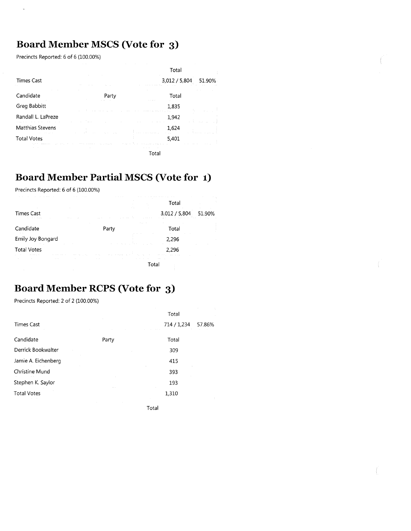## **Board Member MSCS (Vote for 3)**

Precincts Reported: 6 of 6 (100.00%)

 $\overline{a}$ 

|                                                       |                                                                        | Total                                                              |
|-------------------------------------------------------|------------------------------------------------------------------------|--------------------------------------------------------------------|
| <b>Times Cast</b>                                     |                                                                        | 3,012 / 5,804<br>51.90%                                            |
| Candidate                                             | Party                                                                  | Total                                                              |
| Greg Babbitt<br>the company of                        |                                                                        | 1,835<br>a commercial companies and com-                           |
| Randall L. LaPreze<br>.                               |                                                                        | 1,942                                                              |
| Matthias Stevens<br>the control of the control of the | and the control                                                        | 1,624<br>Report Follows Street<br>and the most representative      |
| <b>Total Votes</b><br>and continued to a state        | contractors and<br>Automobile Automobile<br>the first contract and the | 5.401<br>and contractors<br>and we have seen as a straight for the |
|                                                       | <b>Contract Contract</b>                                               | Total                                                              |

### **Board Member Partial MSCS (Vote for 1)**

Precincts Reported: 6 of 6 (100.00%)

|                                                                                           | ALC: U                                                                    | Total                                               |
|-------------------------------------------------------------------------------------------|---------------------------------------------------------------------------|-----------------------------------------------------|
| <b>Times Cast</b><br>Arrest Co.<br>and the state of the                                   |                                                                           | 3,012 / 5,804<br>51.90%<br><b>Contract Contract</b> |
| Candidate                                                                                 | Party                                                                     | Total                                               |
| Emily Joy Bongard                                                                         |                                                                           | 2,296                                               |
| <b>Total Votes</b><br>the contract of the con-<br>and a state of the<br><b>CONTRACTOR</b> | control the common<br>The Control<br><b>STATISTICS</b><br>The State State | 2.296<br>$\alpha$ , $\alpha$ , $\alpha$ , $\alpha$  |
| $\sim$ $\sim$                                                                             | $\sim$ $\sim$                                                             | $\cdots$<br>Total                                   |

#### **Board Member RCPS (Vote for 3)**

Precincts Reported: 2 of 2 (100.00%)

|                     |       | Total       |        |
|---------------------|-------|-------------|--------|
| <b>Times Cast</b>   |       | 714 / 1,234 | 57.86% |
| Candidate           | Party | Total       |        |
| Derrick Bookwalter  |       | 309         |        |
| Jamie A. Eichenberg |       | 415         |        |
| Christine Mund      |       | 393         |        |
| Stephen K. Saylor   |       | 193         |        |
| <b>Total Votes</b>  |       | 1,310       |        |
|                     |       |             |        |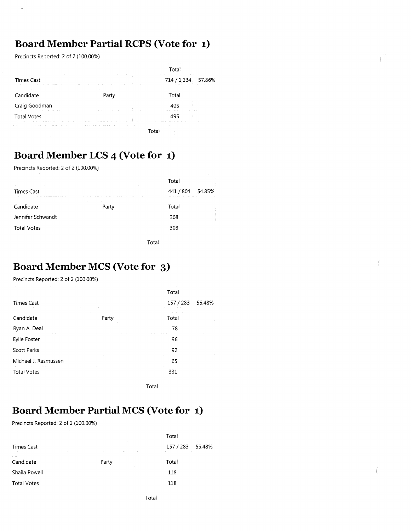### **Board Member Partial RCPS (Vote for 1)**

Precincts Reported: 2 of 2 (100.00%)

l.

|                                                                                                    | the control of the control of the control of the control of the control of the control of the control of the control of the control of the control of the control of the control of the control of the control of the control | the company's company's company's<br>Total                                                                                                                                                                                     |
|----------------------------------------------------------------------------------------------------|-------------------------------------------------------------------------------------------------------------------------------------------------------------------------------------------------------------------------------|--------------------------------------------------------------------------------------------------------------------------------------------------------------------------------------------------------------------------------|
| <b>Times Cast</b><br>the contract of the contract problem in the contract of the contract of       | the company's company's company's and<br><b>COLLECTION</b>                                                                                                                                                                    | the contract of the contract of the contract of the con-<br>714 / 1,234 57.86%<br>the company of the company of the company of the company of the company of the company of                                                    |
| <b>Contract</b><br>Candidate<br>the contract of the contract of the con-                           | Party<br>the contract of the contract of the contract of the contract of the contract of the contract of the contract of<br><b>Contract</b>                                                                                   | Total                                                                                                                                                                                                                          |
| <b>Contract Contract</b><br>Craig Goodman<br>the complete state of the state of the complete state | the contract of the contract of the contract of the contract of the contract of the contract of the                                                                                                                           | and an                                                                                                                                                                                                                         |
| <b>Total Votes</b>                                                                                 | and the second companies are the contract of the contract of the second contract of the contract of the theory                                                                                                                | the contract of the company of the contract of the contract of the contract of the contract of the contract of the contract of the contract of the contract of the contract of the contract of the contract of the contract of |
| the company of the part of<br><b>STATE</b>                                                         | the contract and an experimental contracts of the contracts of the contracts of the con-<br>Гоtal                                                                                                                             |                                                                                                                                                                                                                                |

### **Board Member LCS 4 (Vote for 1)**

Precincts Reported: 2 of 2 (100.00%)

| .<br>.                                                                                                                                                                                                                                     | the contract of the contract of the                                                                                                                                                                                     | <b>STATE</b><br>Total                                                                                                                                                                                                                                       |  |
|--------------------------------------------------------------------------------------------------------------------------------------------------------------------------------------------------------------------------------------------|-------------------------------------------------------------------------------------------------------------------------------------------------------------------------------------------------------------------------|-------------------------------------------------------------------------------------------------------------------------------------------------------------------------------------------------------------------------------------------------------------|--|
| and the company of the com-<br><b>COLL</b><br><b>Times Cast</b><br>the contract of the con-                                                                                                                                                | the contract of the contract of the contract of the<br>and the control<br>the contract of the second contract of the second contract of the second contract of the second contract of the<br>the company of the company | and the control<br>441 / 804 54.85%<br>.                                                                                                                                                                                                                    |  |
| the control of the control of the control of the control of the control of the control of the control of the control of the control of the control of the control of the control of the control of the control of the control<br>Candidate | the contract of the contract of the contract of<br>Party                                                                                                                                                                | contract the con-<br>the company of the company of the company of the company of the company of the company of the company of the company of the company of the company of the company of the company of the company of the company of the company<br>Total |  |
| Jennifer Schwandt                                                                                                                                                                                                                          |                                                                                                                                                                                                                         | 308                                                                                                                                                                                                                                                         |  |
| the company of the company of the company of the company of<br><b>Total Votes</b>                                                                                                                                                          | the company's company's company's<br>the control of                                                                                                                                                                     | the company of the company of the company of the company of the company of the company of the company of the company of the company of the company of the company of the company of the company of the company of the company<br>308                        |  |
| the contract of the contract of the<br><b>Contract Contract</b><br><b>Contractor</b>                                                                                                                                                       | the contract of the contract of the contract of                                                                                                                                                                         | Total                                                                                                                                                                                                                                                       |  |
| the contract of the contract of the contract of the contract of the contract of the contract of the contract of<br>the contract of the contract of the contract of the contract of the contract of the contract of the contract of         | the contract of the contract of the contract of the contract of the contract of the contract of the contract of                                                                                                         | <b>Contractor</b>                                                                                                                                                                                                                                           |  |

#### **Board Member MCS (Vote for 3)**

Precincts Reported: 2 of 2 (100.00%)

|                      |        | Total                    |        |
|----------------------|--------|--------------------------|--------|
| <b>Times Cast</b>    |        | 157 / 283                | 55.48% |
| Candidate            | Party  | Total                    |        |
| Ryan A. Deal         |        | 78                       |        |
| Eylie Foster         |        | 96                       |        |
| <b>Scott Parks</b>   |        | 92                       |        |
| Michael J. Rasmussen |        | 65                       |        |
| <b>Total Votes</b>   |        | <b>Contractor</b><br>331 |        |
|                      | $\sim$ |                          |        |

Total

## **Board Member Partial MCS (Vote for 1)**

Precincts Reported: 2 of 2 (100.00%)

|                                                | $\sim$                                   | Total<br>$\sim$                                                  |
|------------------------------------------------|------------------------------------------|------------------------------------------------------------------|
| Times Cast<br>The Committee<br><b>Contract</b> | <b>Contractor</b><br>and the contract of | 157 / 283 55.48%<br>the control of the control of the control of |
| <b>CONTRACTOR</b><br>Candidate                 | Party<br>$\sim$ 100 $\pm$                | Total                                                            |
| Shaila Powell                                  |                                          | 118<br><b>College</b>                                            |
| <b>Total Votes</b>                             |                                          | 118                                                              |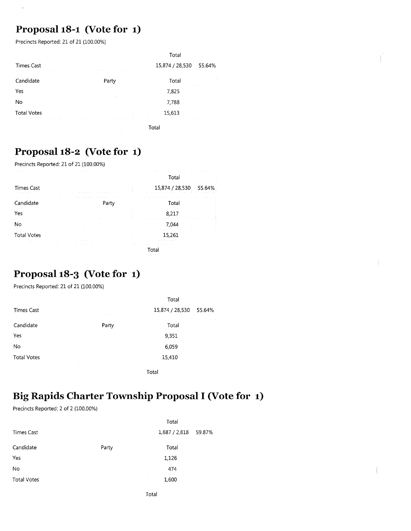### **Proposal 18-1 (Vote for 1)**

Precincts Reported: 21 of 21 (100.00%)

|                                                            |                                                                               | Total                 |        |
|------------------------------------------------------------|-------------------------------------------------------------------------------|-----------------------|--------|
| <b>Times Cast</b><br>All Park 1<br>the company's company's | Arrest College                                                                | 15,874 / 28,530       | 55.64% |
| Candidate                                                  | Party                                                                         | $\sim$<br>Total       |        |
| Yes<br>a cara                                              | and the state<br><b>Contract Contract Contract</b><br>$\sim$                  | 7,825                 |        |
| No<br>and the con-                                         | <b>Contract Contract</b>                                                      | 7,788                 |        |
| <b>Total Votes</b>                                         |                                                                               | 15,613<br>$1.1 - 1.1$ |        |
| e.<br><b>State Street</b>                                  | the control of the control of the con-<br>the contract of the contract of the | Total                 |        |

### **Proposal 18-2 (Vote for 1)**

Precincts Reported: 21 of 21 (100.00%)

|                                                                                               |                                          | Tota                                                                                                                               |
|-----------------------------------------------------------------------------------------------|------------------------------------------|------------------------------------------------------------------------------------------------------------------------------------|
| <b>Times Cast</b><br>.                                                                        |                                          | 15,874 / 28,530<br>55.64%<br>the company's company's company's company's company's company's company's company's<br><b>Service</b> |
| <b>COLLEGE</b><br>Candidate                                                                   | .<br>Part<br>the company of the com-     | <b>ALC: YES</b><br>.<br><b><i><u>ALCO</u></i></b><br>Total                                                                         |
| the contract of the contract of<br>Yes                                                        | $\sim$                                   | 8.217                                                                                                                              |
| <b>COLL</b><br>No                                                                             | the company of the company of            |                                                                                                                                    |
| the state of the control of<br><b>Total Votes</b><br>11.11<br>the contract of the contract of | and the control<br><b>COLLEGE</b>        | the company of the company<br>15.261<br>the contract of the contract of                                                            |
| $\sim$                                                                                        | $\sim$<br>the company of the company<br> | <b>ALC: N</b><br>.                                                                                                                 |

### **Proposal 18-3 (Vote for 1)**

Precincts Reported: 21 of 21 (100.00%)

| the company of the com-<br>the company's company's                                                   | the contract of the contract of the con-<br>the contract of the contract of the contract of the contract of the contract of the contract of the | the state of the control of the<br>Total |                                           |
|------------------------------------------------------------------------------------------------------|-------------------------------------------------------------------------------------------------------------------------------------------------|------------------------------------------|-------------------------------------------|
| <b>Times Cast</b><br>the contract of the contract of the contract of the contract of the contract of | <b>ALCOHOL:</b>                                                                                                                                 | 15,874 / 28,530                          | 55.64%<br>and a state of the state of the |
| Candidate                                                                                            | Party                                                                                                                                           | Total                                    | $\sim$                                    |
| Yes                                                                                                  | the contract of the contract of the contract of the contract of                                                                                 | 9,351                                    | The Control                               |
| No                                                                                                   |                                                                                                                                                 | 6,059<br>÷.                              |                                           |
| the control of the control of the<br><b>Total Votes</b>                                              | 11.                                                                                                                                             | 15,410                                   |                                           |
|                                                                                                      | All Corp.                                                                                                                                       |                                          |                                           |

Total

# **Big Rapids Charter Township Proposal I (Vote for 1)**

Precincts Reported: 2 of 2 (100.00%)

|                                                              |                                                | Total         |        |
|--------------------------------------------------------------|------------------------------------------------|---------------|--------|
| <b>Times Cast</b><br>the control of the control of<br>$\sim$ | <b>Contract</b><br>$\sim$<br><b>Contractor</b> | 1,687 / 2,818 | 59.87% |
| Candidate                                                    | Party<br>and the                               | Total         |        |
| Yes<br>$\sim$                                                |                                                | 1,126         |        |
| No                                                           | $\sim$                                         | 474           |        |
| <b>Total Votes</b>                                           |                                                | 1,600         |        |